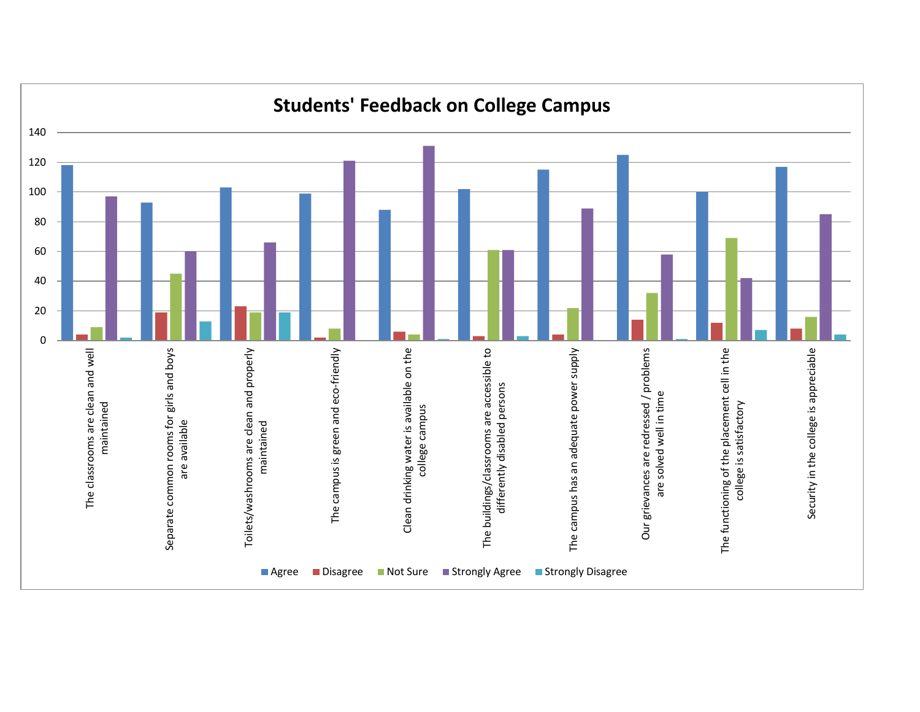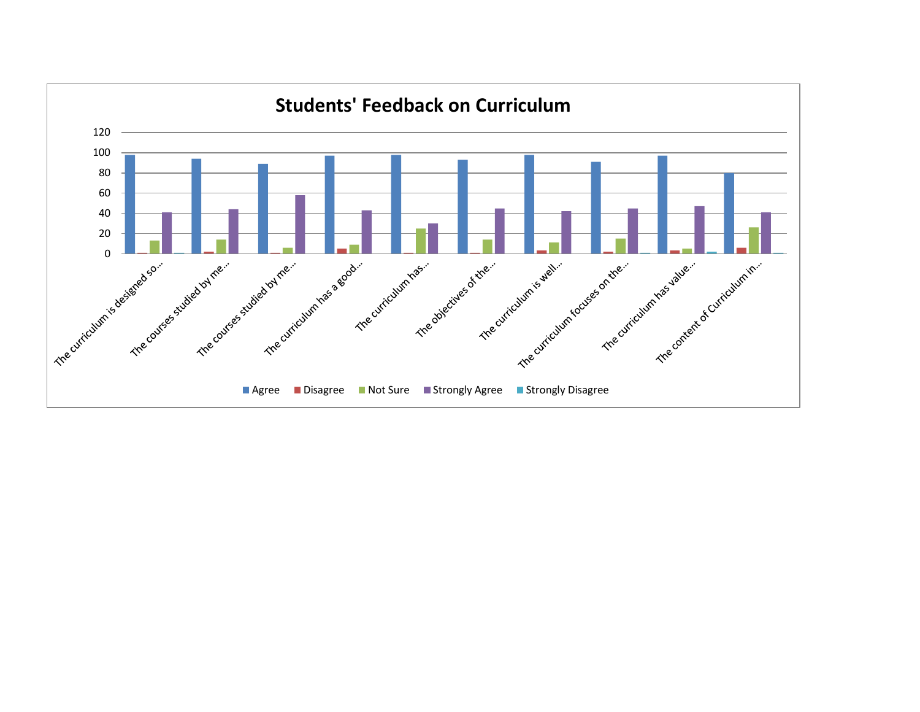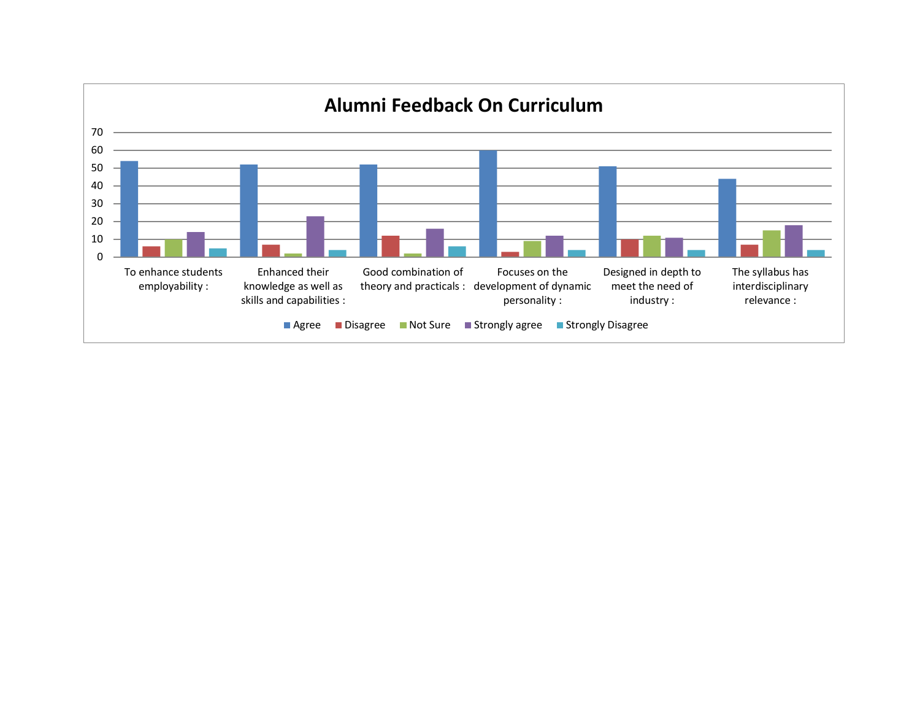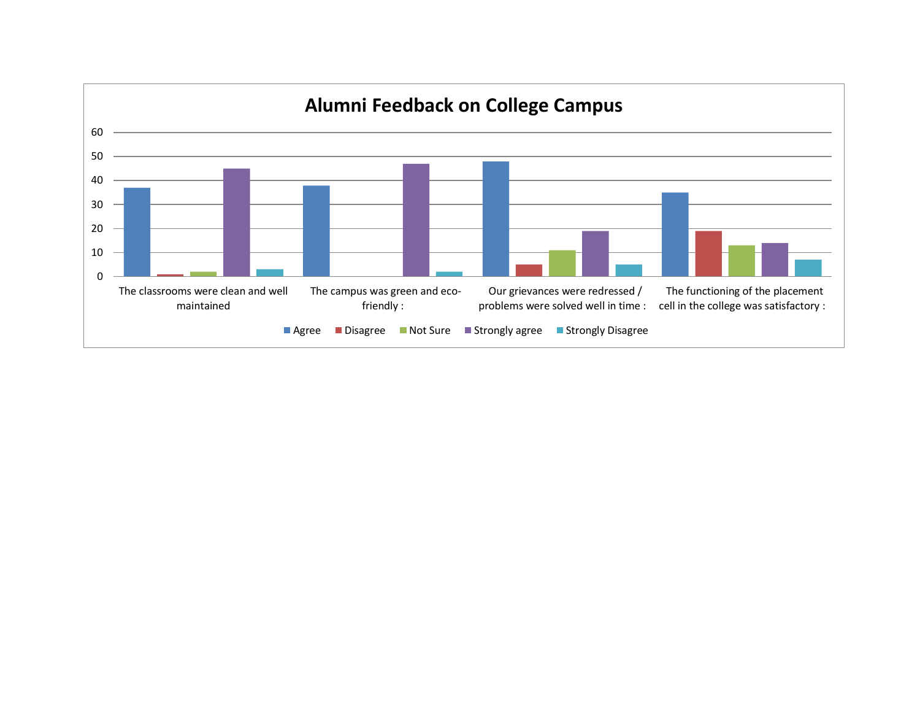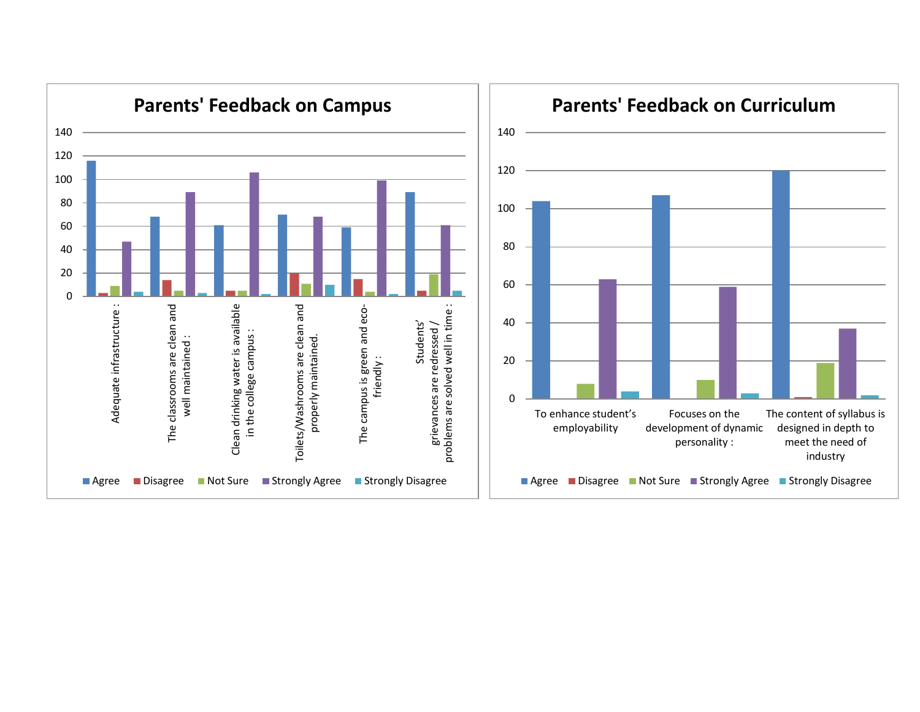